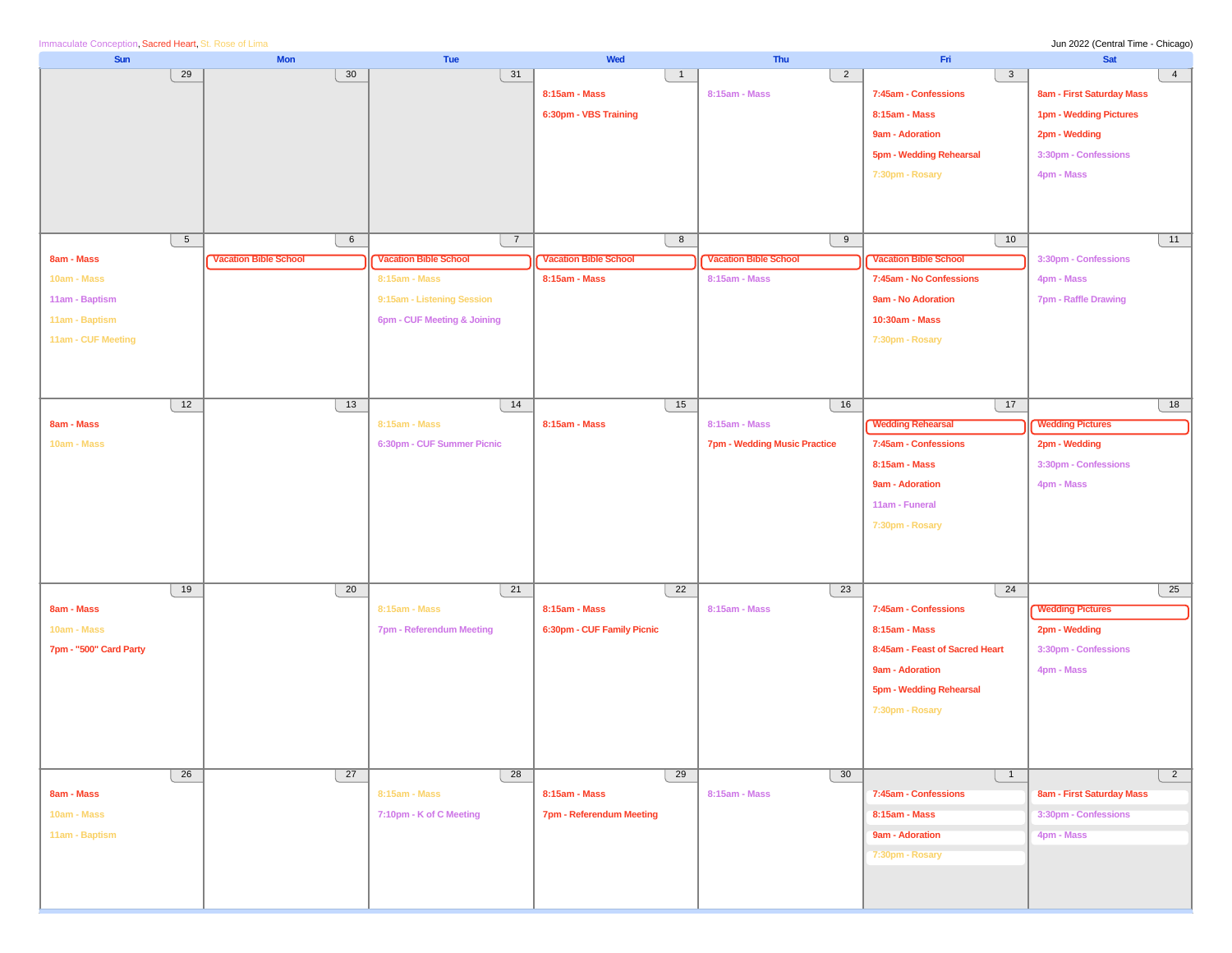